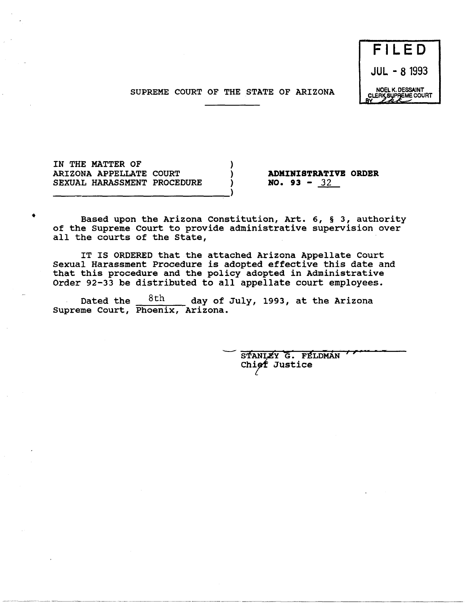SUPREME COURT OF THE STATE OF ARIZONA



IN THE MATTER OF ARIZONA APPELLATE COURT SEXUAL HARASSMENT PROCEDURE

----------------------------~)

-------------------- -------~------- ------------- ---------------- -- ----

•

**ADMINISTRATIVE ORDER**   $NO. 93 - 32$ 

Based upon the Arizona Constitution, Art. 6, § 3, authority of the Supreme Court to provide administrative supervision over all the courts of the State,

) ) )

IT IS ORDERED that the attached Arizona Appellate Court Sexual Harassment Procedure is adopted effective this date and that this procedure and the policy adopted in Administrative Order 92-33 be distributed to all appellate court employees.

Dated the  $8th$  day of July, 1993, at the Arizona Supreme Court, Phoenix, Arizona.

> STANLEY G. FELDMAN Chief Justice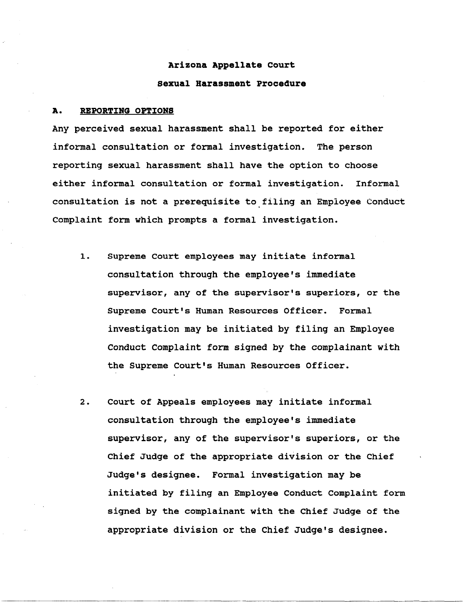# **Arizona Appellate Court Sexual Harassment Prooedure**

#### **A. REPORTING OPTIONS**

Any perceived sexual harassment shall be reported for either informal consultation or formal investigation. The person reporting sexual harassment shall have the option to choose either informal consultation or formal investigation. Informal consultation is not a prerequisite to filing an Employee Conduct Complaint form which prompts a formal investigation.

- 1. Supreme Court employees may initiate informal consultation through the employee's immediate supervisor, any of the supervisor's superiors, or the Supreme Court's Human Resources Officer. Formal investigation may be initiated by filing an Employee Conduct Complaint form signed by the complainant with the Supreme Court's Human Resources Officer.
- 2. Court of Appeals employees may initiate informal consultation through the employee's immediate supervisor, any of the supervisor's superiors, or the Chief Judge of the appropriate division or the Chief Judge'S designee. Formal investigation may be initiated by filing an Employee Conduct Complaint form signed by the complainant with the Chief Judge of the appropriate division or the Chief Judge's designee.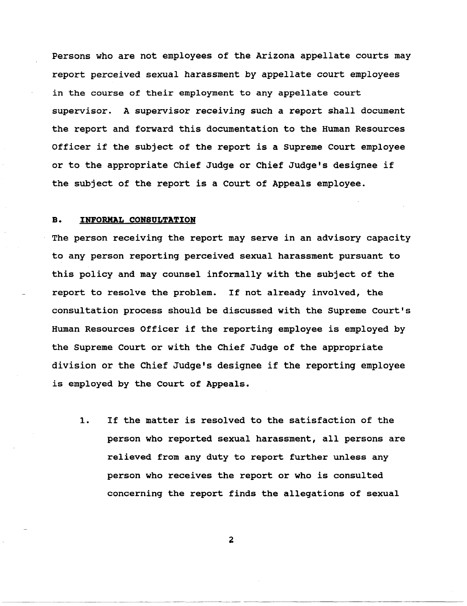Persons who are not employees of the Arizona appellate courts may report perceived sexual harassment by appellate court employees in the course of their employment to any appellate court supervisor. A supervisor receiving such a report shall document the report and forward this documentation to the Human Resources Officer if the subject of the report is a Supreme Court employee or to the appropriate Chief Judge or Chief Judge's designee if the subject of the report is a Court of Appeals employee.

## **B. INFORMAL CONSULTATION**

The person receiving the report may serve in an advisory capacity to any person reporting perceived sexual harassment pursuant to this policy and may counsel informally with the subject of the report to resolve the problem. If not already involved, the consultation process should be discussed with the Supreme Court's Human Resources Officer if the reporting employee is employed by the Supreme Court or with the Chief Judge of the appropriate division or the Chief Judge's designee if the reporting employee is employed by the Court of Appeals.

1. If the matter is resolved to the satisfaction of the person who reported sexual harassment, all persons are relieved from any duty to report further unless any person who receives the report or who is consulted concerning the report finds the allegations of sexual

 $\overline{a}$ 

~-~~----~---~-------- ---~----~--~-------~- ------~------------------~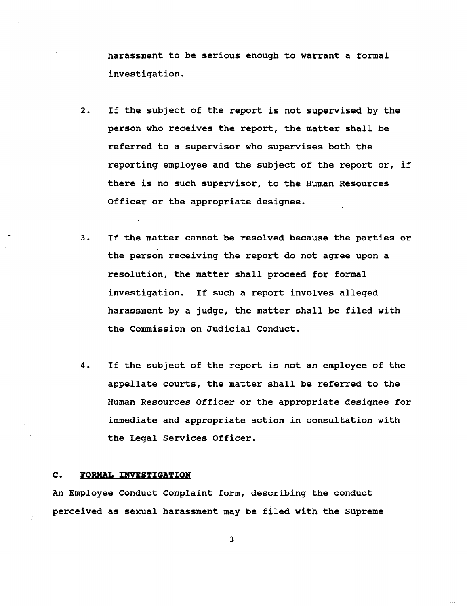harassment to be serious enough to warrant a formal investigation.

- 2. If the subject of the report is not supervised by the person who receives the report, the matter shall be referred to a supervisor who supervises both the reporting employee and the subject of the report or, if there is no such supervisor, to the Human Resources Officer or the appropriate designee.
- 3. If the matter cannot be resolved because the parties or the person receiving the report do not agree upon a resolution, the matter shall proceed for formal investigation. If such a report involves alleged harassment by a judge, the matter shall be filed with the Commission on Judicial Conduct.
- 4. If the subject of the report is not an employee of the appellate courts, the matter shall be referred to the Human Resources Officer or the appropriate designee for immediate and appropriate action in consultation with the Legal Services Officer.

#### **c. FORMAL INVESTIGATION**

An Employee Conduct Complaint form, describing the conduct perceived as sexual harassment may be filed with the Supreme

3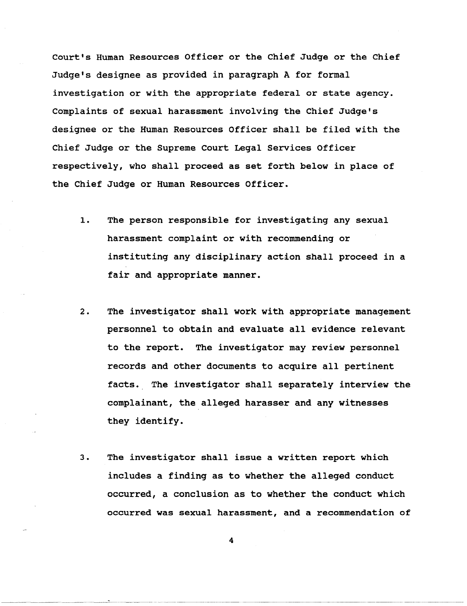Court's Human Resources Officer or the Chief Judge or the Chief Judge's designee as provided in paragraph A for formal investigation or with the appropriate federal or state agency. Complaints of sexual harassment involving the Chief Judge's designee or the Human Resources Officer shall be filed with the Chief Judge or the Supreme Court Legal Services Officer respectively, who shall proceed as set forth below in place of the Chief Judge or Human Resources Officer.

- 1. The person responsible for investigating any sexual harassment complaint or with recommending or instituting any disciplinary action shall proceed in a fair and appropriate manner.
- 2. The investigator shall work with appropriate management personnel to obtain and evaluate all evidence relevant to the report. The investigator may review personnel records and other documents to acquire all pertinent facts. The investigator shall separately interview the complainant, the alleged harasser and any witnesses they identify.
- 3. The investigator shall issue a written report which includes a finding as to whether the alleged conduct occurred, a conclusion as to whether the conduct which occurred was sexual harassment, and a recommendation of

4

------------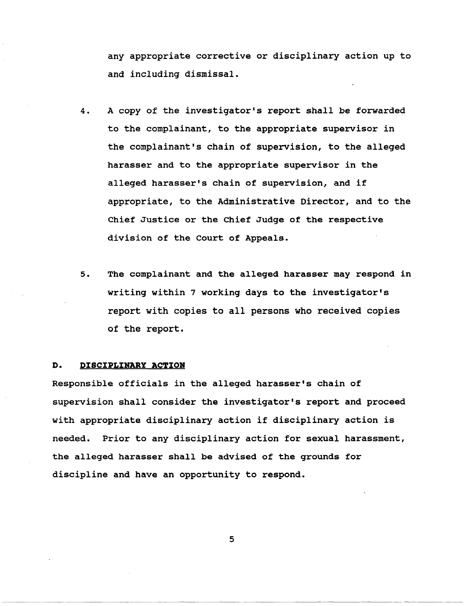any appropriate corrective or disciplinary action up to and including dismissal.

- 4. A copy of the investigator's report shall be forwarded to the complainant, to the appropriate supervisor in the complainant's chain of supervision, to the alleged harasser and to the appropriate supervisor in the alleged harasser's chain of supervision, and if appropriate, to the Administrative Director, and to the Chief Justice or the Chief Judge of the respective division of the Court of Appeals.
- 5. The complainant and the alleged harasser may respond in writing within 7 working days to the investigator's report with copies to all persons who received copies of the report.

## **D. DISCIPLINARY ACTION**

Responsible officials in the alleged harasser's chain of supervision shall consider the investigator's report and proceed with appropriate disciplinary action if disciplinary action is needed. Prior to any disciplinary action for sexual harassment, the alleged harasser shall be advised of the grounds for discipline and have an opportunity to respond.

5